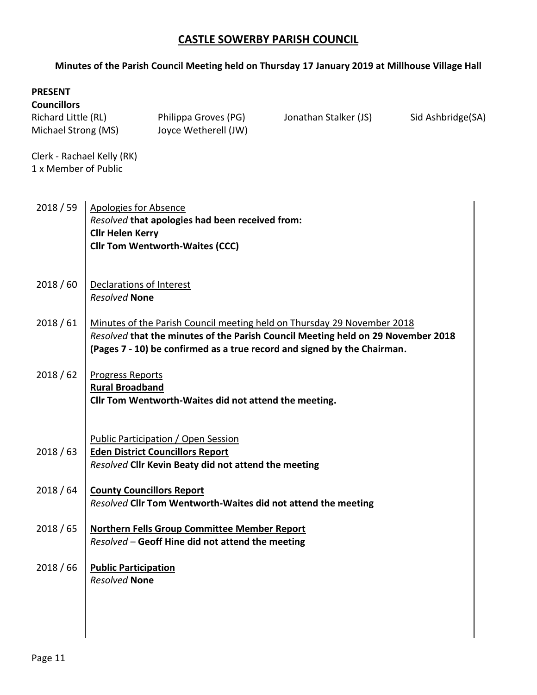## **CASTLE SOWERBY PARISH COUNCIL**

## **Minutes of the Parish Council Meeting held on Thursday 17 January 2019 at Millhouse Village Hall**

| <b>PRESENT</b><br><b>Councillors</b>               |                                                                                                                                                                                                                                         |                                                                                                                                        |                       |                   |  |  |  |  |
|----------------------------------------------------|-----------------------------------------------------------------------------------------------------------------------------------------------------------------------------------------------------------------------------------------|----------------------------------------------------------------------------------------------------------------------------------------|-----------------------|-------------------|--|--|--|--|
| Richard Little (RL)<br>Michael Strong (MS)         |                                                                                                                                                                                                                                         | Philippa Groves (PG)<br>Joyce Wetherell (JW)                                                                                           | Jonathan Stalker (JS) | Sid Ashbridge(SA) |  |  |  |  |
| Clerk - Rachael Kelly (RK)<br>1 x Member of Public |                                                                                                                                                                                                                                         |                                                                                                                                        |                       |                   |  |  |  |  |
| 2018 / 59                                          | <b>Apologies for Absence</b><br>Resolved that apologies had been received from:<br><b>Cllr Helen Kerry</b><br><b>Cllr Tom Wentworth-Waites (CCC)</b>                                                                                    |                                                                                                                                        |                       |                   |  |  |  |  |
| 2018/60                                            | Declarations of Interest<br><b>Resolved None</b>                                                                                                                                                                                        |                                                                                                                                        |                       |                   |  |  |  |  |
| 2018/61                                            | Minutes of the Parish Council meeting held on Thursday 29 November 2018<br>Resolved that the minutes of the Parish Council Meeting held on 29 November 2018<br>(Pages 7 - 10) be confirmed as a true record and signed by the Chairman. |                                                                                                                                        |                       |                   |  |  |  |  |
| 2018/62                                            | <b>Progress Reports</b><br><b>Rural Broadband</b><br>Cllr Tom Wentworth-Waites did not attend the meeting.                                                                                                                              |                                                                                                                                        |                       |                   |  |  |  |  |
| 2018/63                                            |                                                                                                                                                                                                                                         | Public Participation / Open Session<br><b>Eden District Councillors Report</b><br>Resolved Cllr Kevin Beaty did not attend the meeting |                       |                   |  |  |  |  |
| 2018/64                                            | <b>County Councillors Report</b>                                                                                                                                                                                                        | Resolved Cllr Tom Wentworth-Waites did not attend the meeting                                                                          |                       |                   |  |  |  |  |
| 2018/65                                            |                                                                                                                                                                                                                                         | <b>Northern Fells Group Committee Member Report</b><br>Resolved - Geoff Hine did not attend the meeting                                |                       |                   |  |  |  |  |
| 2018/66                                            | <b>Public Participation</b><br><b>Resolved None</b>                                                                                                                                                                                     |                                                                                                                                        |                       |                   |  |  |  |  |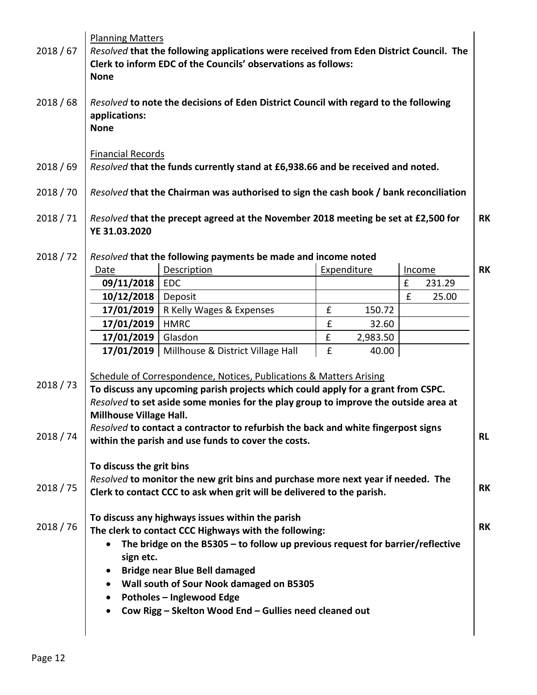| 2018/67   | <b>Planning Matters</b><br>Resolved that the following applications were received from Eden District Council. The<br>Clerk to inform EDC of the Councils' observations as follows:<br><b>None</b> |                                                                                                           |   |             |                    |        |           |  |
|-----------|---------------------------------------------------------------------------------------------------------------------------------------------------------------------------------------------------|-----------------------------------------------------------------------------------------------------------|---|-------------|--------------------|--------|-----------|--|
| 2018/68   | Resolved to note the decisions of Eden District Council with regard to the following<br>applications:<br><b>None</b>                                                                              |                                                                                                           |   |             |                    |        |           |  |
| 2018/69   | <b>Financial Records</b><br>Resolved that the funds currently stand at £6,938.66 and be received and noted.                                                                                       |                                                                                                           |   |             |                    |        |           |  |
| 2018 / 70 | Resolved that the Chairman was authorised to sign the cash book / bank reconciliation                                                                                                             |                                                                                                           |   |             |                    |        |           |  |
| 2018 / 71 | Resolved that the precept agreed at the November 2018 meeting be set at £2,500 for<br><b>RK</b><br>YE 31.03.2020                                                                                  |                                                                                                           |   |             |                    |        |           |  |
| 2018/72   |                                                                                                                                                                                                   | Resolved that the following payments be made and income noted                                             |   |             |                    |        |           |  |
|           | Date                                                                                                                                                                                              | <b>Description</b>                                                                                        |   | Expenditure | Income             |        | <b>RK</b> |  |
|           | 09/11/2018                                                                                                                                                                                        | <b>EDC</b>                                                                                                |   |             | $\pmb{\mathsf{f}}$ | 231.29 |           |  |
|           | 10/12/2018                                                                                                                                                                                        | Deposit                                                                                                   |   |             | £                  | 25.00  |           |  |
|           | 17/01/2019                                                                                                                                                                                        | R Kelly Wages & Expenses                                                                                  | £ | 150.72      |                    |        |           |  |
|           | 17/01/2019                                                                                                                                                                                        | <b>HMRC</b>                                                                                               | £ | 32.60       |                    |        |           |  |
|           | 17/01/2019                                                                                                                                                                                        | Glasdon                                                                                                   | £ | 2,983.50    |                    |        |           |  |
|           |                                                                                                                                                                                                   | 17/01/2019   Millhouse & District Village Hall                                                            | £ | 40.00       |                    |        |           |  |
|           |                                                                                                                                                                                                   |                                                                                                           |   |             |                    |        |           |  |
| 2018 / 73 | Schedule of Correspondence, Notices, Publications & Matters Arising<br>To discuss any upcoming parish projects which could apply for a grant from CSPC.                                           |                                                                                                           |   |             |                    |        |           |  |
|           | Resolved to set aside some monies for the play group to improve the outside area at                                                                                                               |                                                                                                           |   |             |                    |        |           |  |
|           | Millhouse Village Hall.                                                                                                                                                                           |                                                                                                           |   |             |                    |        |           |  |
|           |                                                                                                                                                                                                   | Resolved to contact a contractor to refurbish the back and white fingerpost signs                         |   |             |                    |        |           |  |
| 2018 / 74 |                                                                                                                                                                                                   | within the parish and use funds to cover the costs.                                                       |   |             |                    |        | <b>RL</b> |  |
|           |                                                                                                                                                                                                   |                                                                                                           |   |             |                    |        |           |  |
|           | To discuss the grit bins                                                                                                                                                                          |                                                                                                           |   |             |                    |        |           |  |
|           | Resolved to monitor the new grit bins and purchase more next year if needed. The                                                                                                                  |                                                                                                           |   |             |                    |        |           |  |
| 2018 / 75 | Clerk to contact CCC to ask when grit will be delivered to the parish.                                                                                                                            |                                                                                                           |   |             |                    |        | <b>RK</b> |  |
|           |                                                                                                                                                                                                   |                                                                                                           |   |             |                    |        |           |  |
| 2018 / 76 |                                                                                                                                                                                                   | To discuss any highways issues within the parish<br>The clerk to contact CCC Highways with the following: |   |             |                    | RK     |           |  |
|           |                                                                                                                                                                                                   | The bridge on the B5305 $-$ to follow up previous request for barrier/reflective                          |   |             |                    |        |           |  |
|           | sign etc.                                                                                                                                                                                         |                                                                                                           |   |             |                    |        |           |  |
|           | ٠                                                                                                                                                                                                 | <b>Bridge near Blue Bell damaged</b>                                                                      |   |             |                    |        |           |  |
|           | Wall south of Sour Nook damaged on B5305                                                                                                                                                          |                                                                                                           |   |             |                    |        |           |  |
|           | <b>Potholes - Inglewood Edge</b>                                                                                                                                                                  |                                                                                                           |   |             |                    |        |           |  |
|           | Cow Rigg - Skelton Wood End - Gullies need cleaned out                                                                                                                                            |                                                                                                           |   |             |                    |        |           |  |
|           |                                                                                                                                                                                                   |                                                                                                           |   |             |                    |        |           |  |